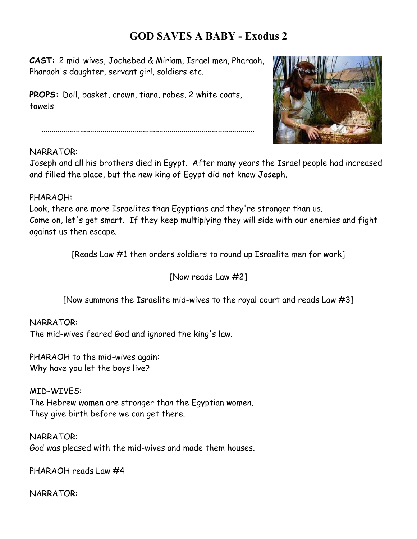### **GOD SAVES A BABY - Exodus 2**

**CAST:** 2 mid-wives, Jochebed & Miriam, Israel men, Pharaoh, Pharaoh's daughter, servant girl, soldiers etc.

**PROPS:** Doll, basket, crown, tiara, robes, 2 white coats, towels



.........................................................................................................

#### NARRATOR:

Joseph and all his brothers died in Egypt. After many years the Israel people had increased and filled the place, but the new king of Egypt did not know Joseph.

#### PHARAOH:

Look, there are more Israelites than Egyptians and they're stronger than us. Come on, let's get smart. If they keep multiplying they will side with our enemies and fight against us then escape.

[Reads Law #1 then orders soldiers to round up Israelite men for work]

[Now reads Law #2]

[Now summons the Israelite mid-wives to the royal court and reads Law #3]

#### NARRATOR:

The mid-wives feared God and ignored the king's law.

PHARAOH to the mid-wives again: Why have you let the boys live?

MID-WIVES: The Hebrew women are stronger than the Egyptian women. They give birth before we can get there.

NARRATOR: God was pleased with the mid-wives and made them houses.

PHARAOH reads Law #4

NARRATOR: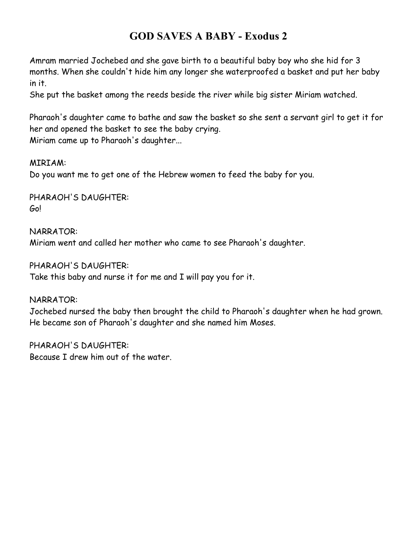# **GOD SAVES A BABY - Exodus 2**

Amram married Jochebed and she gave birth to a beautiful baby boy who she hid for 3 months. When she couldn't hide him any longer she waterproofed a basket and put her baby in it.

She put the basket among the reeds beside the river while big sister Miriam watched.

Pharaoh's daughter came to bathe and saw the basket so she sent a servant girl to get it for her and opened the basket to see the baby crying. Miriam came up to Pharaoh's daughter...

#### MIRIAM:

Do you want me to get one of the Hebrew women to feed the baby for you.

PHARAOH'S DAUGHTER: Go!

NARRATOR: Miriam went and called her mother who came to see Pharaoh's daughter.

#### PHARAOH'S DAUGHTER:

Take this baby and nurse it for me and I will pay you for it.

#### NARRATOR:

Jochebed nursed the baby then brought the child to Pharaoh's daughter when he had grown. He became son of Pharaoh's daughter and she named him Moses.

PHARAOH'S DAUGHTER: Because I drew him out of the water.